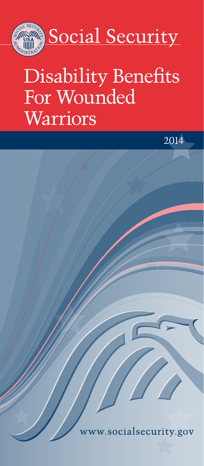

# Disability Benefits For Wounded Warriors

2014

w.socialsecurity.gov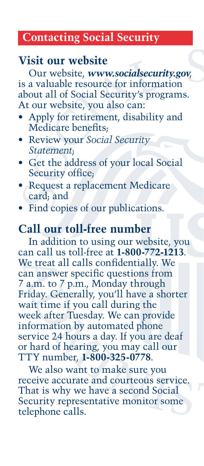#### **Contacting Social Security**

## **Visit our website**

Our website, *[www.socialsecurity.gov](http://www.socialsecurity.gov)*, is a valuable resource for information about all of Social Security's programs. At our website, you also can:

- Apply for retirement, disability and Medicare benefits;
- • Review your *[Social Security](http://www.socialsecurity.gov/myaccount/)  [Statement](http://www.socialsecurity.gov/myaccount/)*;
- Get the address of your [local](http://www.socialsecurity.gov/locator) Social Security office;
- Request a replacement [Medicare](http://www.socialsecurity.gov/medicarecard) card; and
- Find [copies](http://www.socialsecurity.gov/pubs) of our publications.

## **Call our toll-free number**

In addition to using our website, you can call us toll-free at **1-800-772-1213**. We treat all calls confidentially. We can answer specific questions from 7 a.m. to 7 p.m., Monday through Friday. Generally, you'll have a shorter wait time if you call during the week after Tuesday. We can provide information by automated phone service 24 hours a day. If you are deaf or hard of hearing, you may call our TTY number, **1-800-325-0778**.

We also want to make sure you receive accurate and courteous service. That is why we have a second Social Security representative monitor some telephone calls.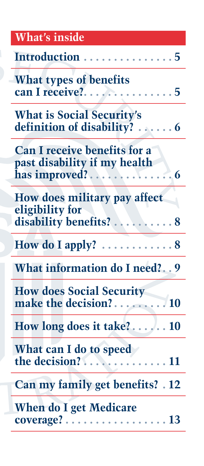| <b>What's inside</b>                                                                                           |
|----------------------------------------------------------------------------------------------------------------|
| Introduction  5                                                                                                |
| What types of benefits<br>can I receive?<br>. 5<br>n M                                                         |
| <b>What is Social Security's</b><br>definition of disability? 6                                                |
| <b>Can I receive benefits for a</b><br>past disability if my health<br>has improved?<br>$\ddot{\phantom{0}}$ 6 |
| How does military pay affect<br>eligibility for<br>disability benefits?<br>. 8                                 |
| How do I apply? $\dots \dots \dots \dots 8$                                                                    |
| What information do I need? 9                                                                                  |
| <b>How does Social Security</b>                                                                                |
|                                                                                                                |
| What can I do to speed<br>the decision?                                                                        |
| <b>Can my family get benefits?</b> 12                                                                          |
| <b>When do I get Medicare</b><br>$coverage? \ldots \ldots$<br>$\ldots$ . 13                                    |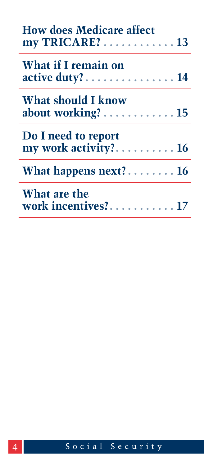| <b>How does Medicare affect</b><br>$my TRICARE? \ldots \ldots \ldots \ldots 13$ |  |
|---------------------------------------------------------------------------------|--|
| What if I remain on<br>$active duty? \ldots \ldots \ldots \ldots 14$            |  |
| What should I know<br>about working? $\dots\dots\dots\dots\dots$                |  |
| Do I need to report<br>my work activity? 16                                     |  |
| What happens next? $16$                                                         |  |
| What are the<br>work incentives? 17                                             |  |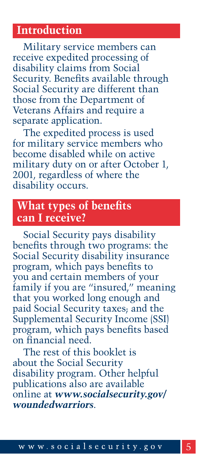## <span id="page-4-0"></span>**Introduction**

Military service members can receive expedited processing of disability claims from Social Security. Benefits available through Social Security are different than those from the Department of Veterans Affairs and require a separate application.

The expedited process is used for military service members who become disabled while on active military duty on or after October 1, 2001, regardless of where the disability occurs.

#### **What types of benefits can I receive?**

Social Security pays disability benefits through two programs: the Social Security disability insurance program, which pays benefits to you and certain members of your family if you are "insured," meaning that you worked long enough and paid Social Security taxes; and the Supplemental Security Income (SSI) program, which pays benefits based on financial need.

The rest of this booklet is about the Social Security disability program. Other helpful publications also are available online at *[www.socialsecurity.gov/](http://www.socialsecurity.gov/woundedwarriors) woundedwarriors*.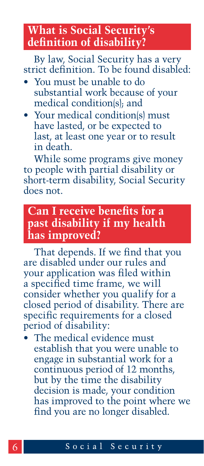## <span id="page-5-0"></span>**What is Social Security's definition of disability?**

By law, Social Security has a very strict definition. To be found disabled:

- You must be unable to do substantial work because of your medical condition(s); and
- Your medical condition(s) must have lasted, or be expected to last, at least one year or to result in death.

While some programs give money to people with partial disability or short-term disability, Social Security does not.

## **Can I receive benefits for a past disability if my health has improved?**

That depends. If we find that you are disabled under our rules and your application was filed within a specified time frame, we will consider whether you qualify for a closed period of disability. There are specific requirements for a closed period of disability:

The medical evidence must establish that you were unable to engage in substantial work for a continuous period of 12 months, but by the time the disability decision is made, your condition has improved to the point where we find you are no longer disabled.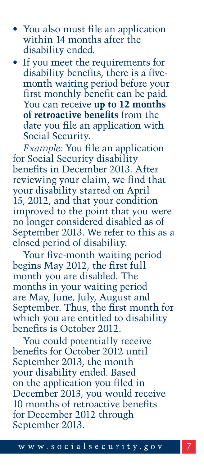- You also must file an application within 14 months after the disability ended.
- If you meet the requirements for disability benefits, there is a fivemonth waiting period before your first monthly benefit can be paid. You can receive **up to 12 months of retroactive benefits** from the date you file an application with Social Security.

*Example:* You file an application for Social Security disability benefits in December 2013. After reviewing your claim, we find that your disability started on April 15, 2012, and that your condition improved to the point that you were no longer considered disabled as of September 2013. We refer to this as a closed period of disability.

Your five-month waiting period begins May 2012, the first full month you are disabled. The months in your waiting period are May, June, July, August and September. Thus, the first month for which you are entitled to disability benefits is October 2012.

You could potentially receive benefits for October 2012 until September 2013, the month your disability ended. Based on the application you filed in December 2013, you would receive 10 months of retroactive benefits for December 2012 through September 2013.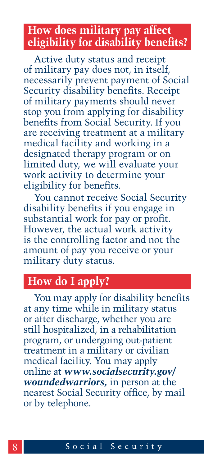## <span id="page-7-0"></span>**How does military pay affect eligibility for disability benefits?**

Active duty status and receipt of military pay does not, in itself, necessarily prevent payment of Social Security disability benefits. Receipt of military payments should never stop you from applying for disability benefits from Social Security. If you are receiving treatment at a military medical facility and working in a designated therapy program or on limited duty, we will evaluate your work activity to determine your eligibility for benefits.

You cannot receive Social Security disability benefits if you engage in substantial work for pay or profit. However, the actual work activity is the controlling factor and not the amount of pay you receive or your military duty status.

#### **How do I apply?**

You may apply for disability benefits at any time while in military status or after discharge, whether you are still hospitalized, in a rehabilitation program, or undergoing out-patient treatment in a military or civilian medical facility. You may apply online at *[www.socialsecurity.gov/](http://www.socialsecurity.gov/woundedwarriors) woundedwarriors,* in person at the nearest Social Security office, by mail or by telephone.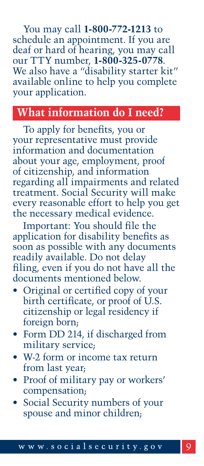<span id="page-8-0"></span>You may call **1-800-772-1213** to schedule an appointment. If you are deaf or hard of hearing, you may call our TTY number, **1-800-325-0778**. We also have a "disability starter kit" available online to help you complete your application.

## **What information do I need?**

To apply for benefits, you or your representative must provide information and documentation about your age, employment, proof of citizenship, and information regarding all impairments and related treatment. Social Security will make every reasonable effort to help you get the necessary medical evidence.

Important: You should file the application for disability benefits as soon as possible with any documents readily available. Do not delay filing, even if you do not have all the documents mentioned below.

- Original or certified copy of your birth certificate, or proof of U.S. citizenship or legal residency if foreign born;
- Form DD 214, if discharged from military service;
- W-2 form or income tax return from last year;
- Proof of military pay or workers' compensation;
- Social Security numbers of your spouse and minor children;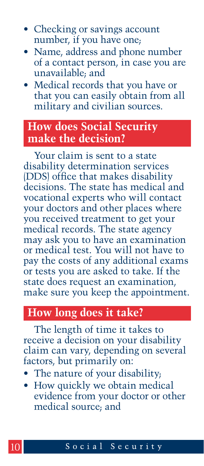- <span id="page-9-0"></span>• Checking or savings account number, if you have one;
- • Name, address and phone number of a contact person, in case you are unavailable; and
- Medical records that you have or that you can easily obtain from all military and civilian sources.

## **How does Social Security make the decision?**

Your claim is sent to a state disability determination services (DDS) office that makes disability decisions. The state has medical and vocational experts who will contact your doctors and other places where you received treatment to get your medical records. The state agency may ask you to have an examination or medical test. You will not have to pay the costs of any additional exams or tests you are asked to take. If the state does request an examination, make sure you keep the appointment.

#### **How long does it take?**

The length of time it takes to receive a decision on your disability claim can vary, depending on several factors, but primarily on:

- The nature of your disability;
- How quickly we obtain medical evidence from your doctor or other medical source; and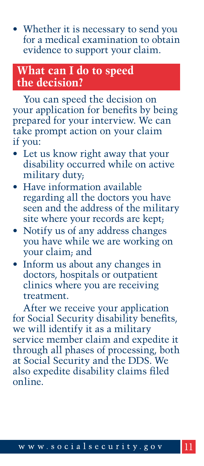<span id="page-10-0"></span>• Whether it is necessary to send you for a medical examination to obtain evidence to support your claim.

## **What can I do to speed the decision?**

You can speed the decision on your application for benefits by being prepared for your interview. We can take prompt action on your claim if you:

- Let us know right away that your disability occurred while on active military duty;
- Have information available regarding all the doctors you have seen and the address of the military site where your records are kept;
- Notify us of any address changes you have while we are working on your claim; and
- Inform us about any changes in doctors, hospitals or outpatient clinics where you are receiving treatment.

After we receive your application for Social Security disability benefits, we will identify it as a military service member claim and expedite it through all phases of processing, both at Social Security and the DDS. We also expedite disability claims filed online.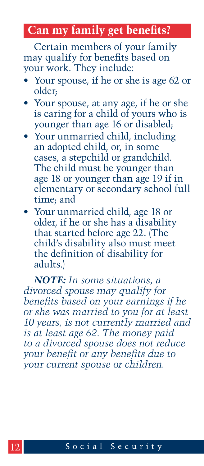## <span id="page-11-0"></span>**Can my family get benefits?**

Certain members of your family may qualify for benefits based on your work. They include:

- Your spouse, if he or she is age 62 or older;
- Your spouse, at any age, if he or she is caring for a child of yours who is younger than age 16 or disabled;
- Your unmarried child, including an adopted child, or, in some cases, a stepchild or grandchild. The child must be younger than age 18 or younger than age 19 if in elementary or secondary school full time; and
- • Your unmarried child, age 18 or older, if he or she has a disability that started before age 22. (The child's disability also must meet the definition of disability for adults.)

*NOTE: In some situations, a divorced spouse may qualify for benefits based on your earnings if he or she was married to you for at least 10 years, is not currently married and is at least age 62. The money paid to a divorced spouse does not reduce your benefit or any benefits due to your current spouse or children.*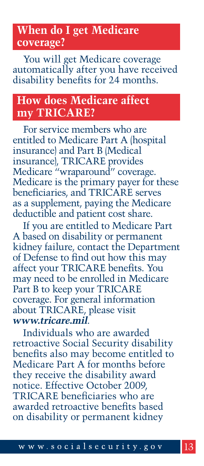## <span id="page-12-0"></span>**When do I get Medicare coverage?**

You will get Medicare coverage automatically after you have received disability benefits for 24 months.

## **How does Medicare affect my TRICARE?**

For service members who are entitled to Medicare Part A (hospital insurance) and Part B (Medical insurance), TRICARE provides Medicare "wraparound" coverage. Medicare is the primary payer for these beneficiaries, and TRICARE serves as a supplement, paying the Medicare deductible and patient cost share.

If you are entitled to Medicare Part A based on disability or permanent kidney failure, contact the Department of Defense to find out how this may affect your TRICARE benefits. You may need to be enrolled in Medicare Part B to keep your TRICARE coverage. For general information about TRICARE, please visit *[www.tricare.mil](http://www.tricare.mil)*.

Individuals who are awarded retroactive Social Security disability benefits also may become entitled to Medicare Part A for months before they receive the disability award notice. Effective October 2009, TRICARE beneficiaries who are awarded retroactive benefits based on disability or permanent kidney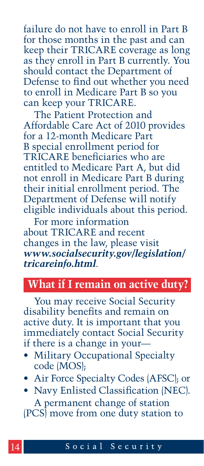<span id="page-13-0"></span>failure do not have to enroll in Part B for those months in the past and can keep their TRICARE coverage as long as they enroll in Part B currently. You should contact the Department of Defense to find out whether you need to enroll in Medicare Part B so you can keep your TRICARE.

The Patient Protection and Affordable Care Act of 2010 provides for a 12-month Medicare Part B special enrollment period for TRICARE beneficiaries who are entitled to Medicare Part A, but did not enroll in Medicare Part B during their initial enrollment period. The Department of Defense will notify eligible individuals about this period.

For more information about TRICARE and recent changes in the law, please visit *[www.socialsecurity.gov/legislation/](http://www.socialsecurity.gov/legislation/tricareinfo.html) tricareinfo.html*.

# **What if I remain on active duty?**

You may receive Social Security disability benefits and remain on active duty. It is important that you immediately contact Social Security if there is a change in your—

- Military Occupational Specialty code (MOS);
- Air Force Specialty Codes (AFSC); or
- Navy Enlisted Classification (NEC). A permanent change of station (PCS) move from one duty station to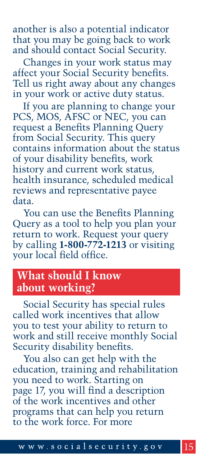<span id="page-14-0"></span>another is also a potential indicator that you may be going back to work and should contact Social Security.

Changes in your work status may affect your Social Security benefits. Tell us right away about any changes in your work or active duty status.

If you are planning to change your PCS, MOS, AFSC or NEC, you can request a Benefits Planning Query from Social Security. This query contains information about the status of your disability benefits, work history and current work status, health insurance, scheduled medical reviews and representative payee data.

You can use the Benefits Planning Query as a tool to help you plan your return to work. Request your query by calling **1-800-772-1213** or visiting your local field office.

## **What should I know about working?**

Social Security has special rules called work incentives that allow you to test your ability to return to work and still receive monthly Social Security disability benefits.

You also can get help with the education, training and rehabilitation you need to work. Starting on [page](#page-16-1) 17, you will find a description of the work incentives and other programs that can help you return to the work force. For more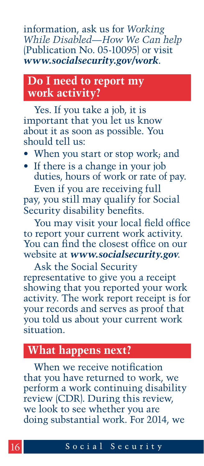<span id="page-15-0"></span>information, ask us for *Working [While Disabled—How We Can help](http://www.socialsecurity.gov/pubs/EN-05-10095.pdf)* (Publication No. 05-10095) or visit *[www.socialsecurity.gov/work](http://www.socialsecurity.gov/work)*.

## **Do I need to report my work activity?**

Yes. If you take a job, it is important that you let us know about it as soon as possible. You should tell us:

- When you start or stop work; and
- If there is a change in your job duties, hours of work or rate of pay.

Even if you are receiving full pay, you still may qualify for Social Security disability benefits.

You may visit your local field office to report your current work activity. You can find the closest office on our website at *[www.socialsecurity.gov](http://www.socialsecurity.gov)*.

Ask the Social Security representative to give you a receipt showing that you reported your work activity. The work report receipt is for your records and serves as proof that you told us about your current work situation.

## **What happens next?**

When we receive notification that you have returned to work, we perform a work continuing disability review (CDR). During this review, we look to see whether you are doing substantial work. For 2014, we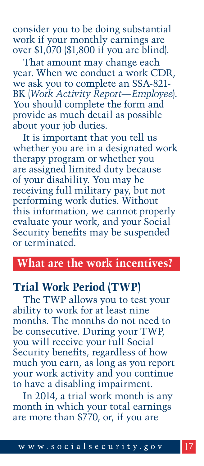<span id="page-16-0"></span>consider you to be doing substantial work if your monthly earnings are over \$1,070 (\$1,800 if you are blind).

That amount may change each year. When we conduct a work CDR, [we ask you to complete an SSA-821-](http://www.socialsecurity.gov/online/ssa-821.pdf) BK (*Work Activity Report—Employee*). You should complete the form and provide as much detail as possible about your job duties.

It is important that you tell us whether you are in a designated work therapy program or whether you are assigned limited duty because of your disability. You may be receiving full military pay, but not performing work duties. Without this information, we cannot properly evaluate your work, and your Social Security benefits may be suspended or terminated.

#### **What are the work incentives?**

#### <span id="page-16-1"></span>**Trial Work Period (TWP)**

The TWP allows you to test your ability to work for at least nine months. The months do not need to be consecutive. During your TWP, you will receive your full Social Security benefits, regardless of how much you earn, as long as you report your work activity and you continue to have a disabling impairment.

In 2014, a trial work month is any month in which your total earnings are more than \$770, or, if you are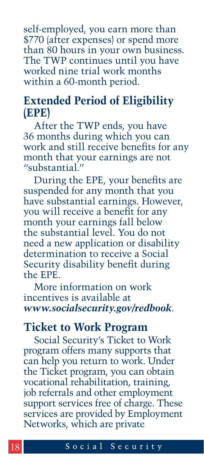self-employed, you earn more than \$770 (after expenses) or spend more than 80 hours in your own business. The TWP continues until you have worked nine trial work months within a 60-month period.

#### **Extended Period of Eligibility (EPE)**

After the TWP ends, you have 36 months during which you can work and still receive benefits for any month that your earnings are not "substantial<sup>"</sup>

During the EPE, your benefits are suspended for any month that you have substantial earnings. However, you will receive a benefit for any month your earnings fall below the substantial level. You do not need a new application or disability determination to receive a Social Security disability benefit during the EPE.

More information on work incentives is available at *[www.socialsecurity.gov/redbook](http://www.socialsecurity.gov/redbook)*.

#### **Ticket to Work Program**

Social Security's Ticket to Work program offers many supports that can help you return to work. Under the Ticket program, you can obtain vocational rehabilitation, training, job referrals and other employment support services free of charge. These services are provided by Employment Networks, which are private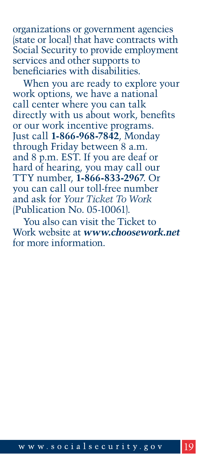organizations or government agencies (state or local) that have contracts with Social Security to provide employment services and other supports to beneficiaries with disabilities.

When you are ready to explore your work options, we have a national call center where you can talk directly with us about work, benefits or our work incentive programs. Just call **1-866-968-7842**, Monday through Friday between 8 a.m. and 8 p.m. EST. If you are deaf or hard of hearing, you may call our TTY number, **1-866-833-2967**. Or you can call our toll-free number and ask for *Your Ticket To Work* [\(Publication No. 05-10061\).](http://www.socialsecurity.gov/pubs/EN-05-10061.pdf) 

You also can visit the Ticket to Work website at *[www.choosework.net](http://www.choosework.net)* for more information.